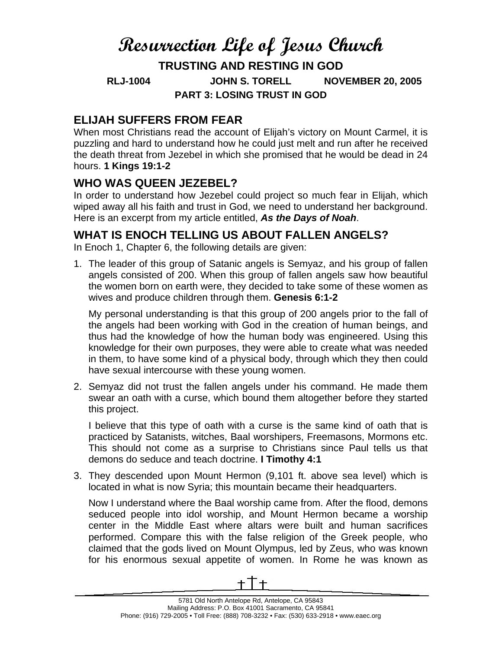# **Resurrection Life of Jesus Church**

**TRUSTING AND RESTING IN GOD RLJ-1004 JOHN S. TORELL NOVEMBER 20, 2005 PART 3: LOSING TRUST IN GOD** 

#### **ELIJAH SUFFERS FROM FEAR**

When most Christians read the account of Elijah's victory on Mount Carmel, it is puzzling and hard to understand how he could just melt and run after he received the death threat from Jezebel in which she promised that he would be dead in 24 hours. **1 Kings 19:1-2**

### **WHO WAS QUEEN JEZEBEL?**

In order to understand how Jezebel could project so much fear in Elijah, which wiped away all his faith and trust in God, we need to understand her background. Here is an excerpt from my article entitled, *As the Days of Noah*.

#### **WHAT IS ENOCH TELLING US ABOUT FALLEN ANGELS?**

In Enoch 1, Chapter 6, the following details are given:

1. The leader of this group of Satanic angels is Semyaz, and his group of fallen angels consisted of 200. When this group of fallen angels saw how beautiful the women born on earth were, they decided to take some of these women as wives and produce children through them. **Genesis 6:1-2**

My personal understanding is that this group of 200 angels prior to the fall of the angels had been working with God in the creation of human beings, and thus had the knowledge of how the human body was engineered. Using this knowledge for their own purposes, they were able to create what was needed in them, to have some kind of a physical body, through which they then could have sexual intercourse with these young women.

2. Semyaz did not trust the fallen angels under his command. He made them swear an oath with a curse, which bound them altogether before they started this project.

I believe that this type of oath with a curse is the same kind of oath that is practiced by Satanists, witches, Baal worshipers, Freemasons, Mormons etc. This should not come as a surprise to Christians since Paul tells us that demons do seduce and teach doctrine. **I Timothy 4:1**

3. They descended upon Mount Hermon (9,101 ft. above sea level) which is located in what is now Syria; this mountain became their headquarters.

Now I understand where the Baal worship came from. After the flood, demons seduced people into idol worship, and Mount Hermon became a worship center in the Middle East where altars were built and human sacrifices performed. Compare this with the false religion of the Greek people, who claimed that the gods lived on Mount Olympus, led by Zeus, who was known for his enormous sexual appetite of women. In Rome he was known as

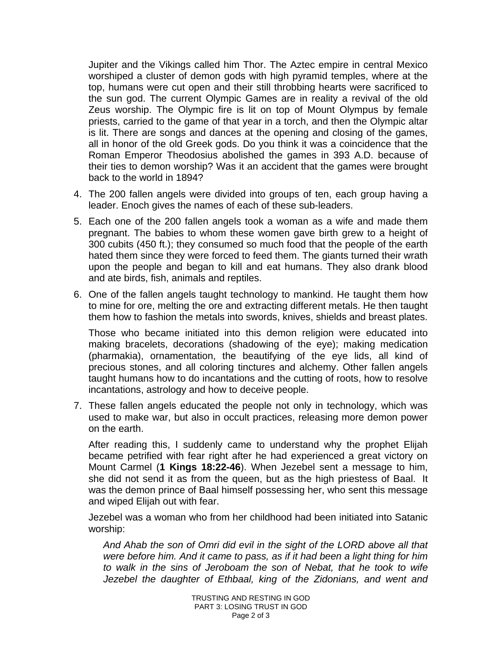Jupiter and the Vikings called him Thor. The Aztec empire in central Mexico worshiped a cluster of demon gods with high pyramid temples, where at the top, humans were cut open and their still throbbing hearts were sacrificed to the sun god. The current Olympic Games are in reality a revival of the old Zeus worship. The Olympic fire is lit on top of Mount Olympus by female priests, carried to the game of that year in a torch, and then the Olympic altar is lit. There are songs and dances at the opening and closing of the games, all in honor of the old Greek gods. Do you think it was a coincidence that the Roman Emperor Theodosius abolished the games in 393 A.D. because of their ties to demon worship? Was it an accident that the games were brought back to the world in 1894?

- 4. The 200 fallen angels were divided into groups of ten, each group having a leader. Enoch gives the names of each of these sub-leaders.
- 5. Each one of the 200 fallen angels took a woman as a wife and made them pregnant. The babies to whom these women gave birth grew to a height of 300 cubits (450 ft.); they consumed so much food that the people of the earth hated them since they were forced to feed them. The giants turned their wrath upon the people and began to kill and eat humans. They also drank blood and ate birds, fish, animals and reptiles.
- 6. One of the fallen angels taught technology to mankind. He taught them how to mine for ore, melting the ore and extracting different metals. He then taught them how to fashion the metals into swords, knives, shields and breast plates.

Those who became initiated into this demon religion were educated into making bracelets, decorations (shadowing of the eye); making medication (pharmakia), ornamentation, the beautifying of the eye lids, all kind of precious stones, and all coloring tinctures and alchemy. Other fallen angels taught humans how to do incantations and the cutting of roots, how to resolve incantations, astrology and how to deceive people.

7. These fallen angels educated the people not only in technology, which was used to make war, but also in occult practices, releasing more demon power on the earth.

After reading this, I suddenly came to understand why the prophet Elijah became petrified with fear right after he had experienced a great victory on Mount Carmel (**1 Kings 18:22-46**). When Jezebel sent a message to him, she did not send it as from the queen, but as the high priestess of Baal. It was the demon prince of Baal himself possessing her, who sent this message and wiped Elijah out with fear.

Jezebel was a woman who from her childhood had been initiated into Satanic worship:

*And Ahab the son of Omri did evil in the sight of the LORD above all that were before him. And it came to pass, as if it had been a light thing for him to walk in the sins of Jeroboam the son of Nebat, that he took to wife Jezebel the daughter of Ethbaal, king of the Zidonians, and went and*